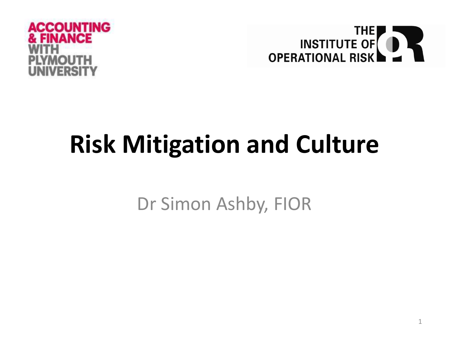



# **Risk Mitigation and Culture**

Dr Simon Ashby, FIOR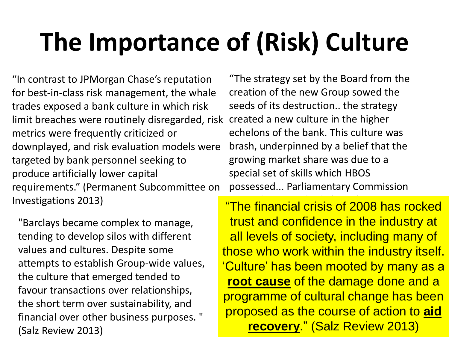# **The Importance of (Risk) Culture**

"In contrast to JPMorgan Chase's reputation for best-in-class risk management, the whale trades exposed a bank culture in which risk limit breaches were routinely disregarded, risk metrics were frequently criticized or downplayed, and risk evaluation models were targeted by bank personnel seeking to produce artificially lower capital requirements." (Permanent Subcommittee on Investigations 2013)

"The strategy set by the Board from the creation of the new Group sowed the seeds of its destruction.. the strategy created a new culture in the higher echelons of the bank. This culture was brash, underpinned by a belief that the growing market share was due to a special set of skills which HBOS possessed... Parliamentary Commission

"Barclays became complex to manage, tending to develop silos with different values and cultures. Despite some attempts to establish Group-wide values, the culture that emerged tended to favour transactions over relationships, the short term over sustainability, and financial over other business purposes. " (Salz Review 2013)

2 **recovery**." (Salz Review 2013)"The financial crisis of 2008 has rocked trust and confidence in the industry at all levels of society, including many of those who work within the industry itself. 'Culture' has been mooted by many as a **root cause** of the damage done and a programme of cultural change has been proposed as the course of action to **aid**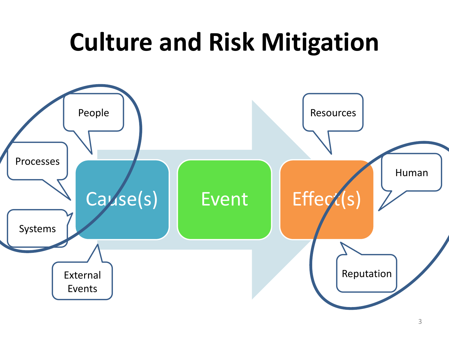#### **Culture and Risk Mitigation**

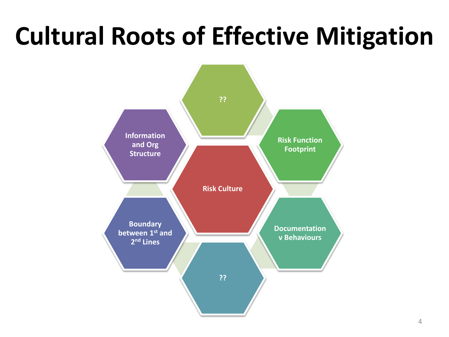# **Cultural Roots of Effective Mitigation**

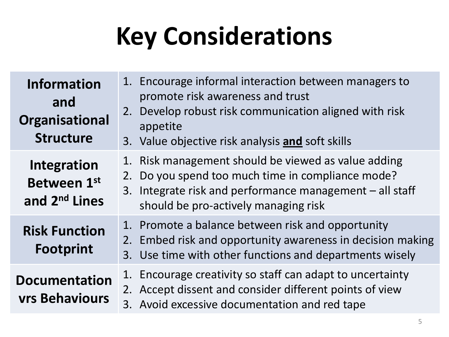# **Key Considerations**

| <b>Information</b><br>and<br>Organisational<br><b>Structure</b> | 1. Encourage informal interaction between managers to<br>promote risk awareness and trust<br>2. Develop robust risk communication aligned with risk<br>appetite<br>3. Value objective risk analysis and soft skills |
|-----------------------------------------------------------------|---------------------------------------------------------------------------------------------------------------------------------------------------------------------------------------------------------------------|
| Integration<br>Between 1st<br>and 2 <sup>nd</sup> Lines         | 1. Risk management should be viewed as value adding<br>2. Do you spend too much time in compliance mode?<br>3. Integrate risk and performance management - all staff<br>should be pro-actively managing risk        |
| <b>Risk Function</b><br><b>Footprint</b>                        | 1. Promote a balance between risk and opportunity<br>2. Embed risk and opportunity awareness in decision making<br>3. Use time with other functions and departments wisely                                          |
| <b>Documentation</b><br><b>vrs Behaviours</b>                   | 1. Encourage creativity so staff can adapt to uncertainty<br>2. Accept dissent and consider different points of view<br>3. Avoid excessive documentation and red tape                                               |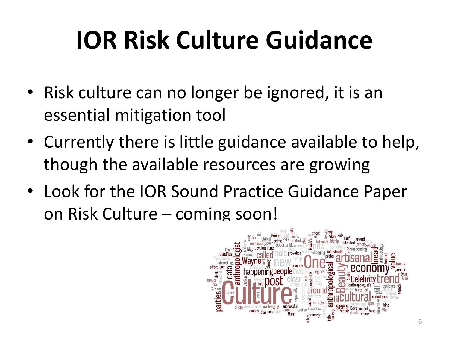# **IOR Risk Culture Guidance**

- Risk culture can no longer be ignored, it is an essential mitigation tool
- Currently there is little guidance available to help, though the available resources are growing
- Look for the IOR Sound Practice Guidance Paper on Risk Culture – coming soon!

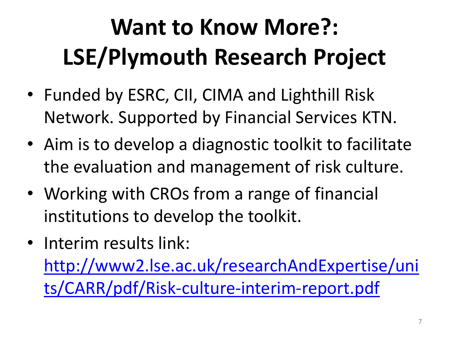# **Want to Know More?: LSE/Plymouth Research Project**

- Funded by ESRC, CII, CIMA and Lighthill Risk Network. Supported by Financial Services KTN.
- Aim is to develop a diagnostic toolkit to facilitate the evaluation and management of risk culture.
- Working with CROs from a range of financial institutions to develop the toolkit.
- Interim results link: [http://www2.lse.ac.uk/researchAndExpertise/uni](http://www2.lse.ac.uk/researchAndExpertise/units/CARR/pdf/Risk-culture-interim-report.pdf) [ts/CARR/pdf/Risk-culture-interim-report.pdf](http://www2.lse.ac.uk/researchAndExpertise/units/CARR/pdf/Risk-culture-interim-report.pdf)